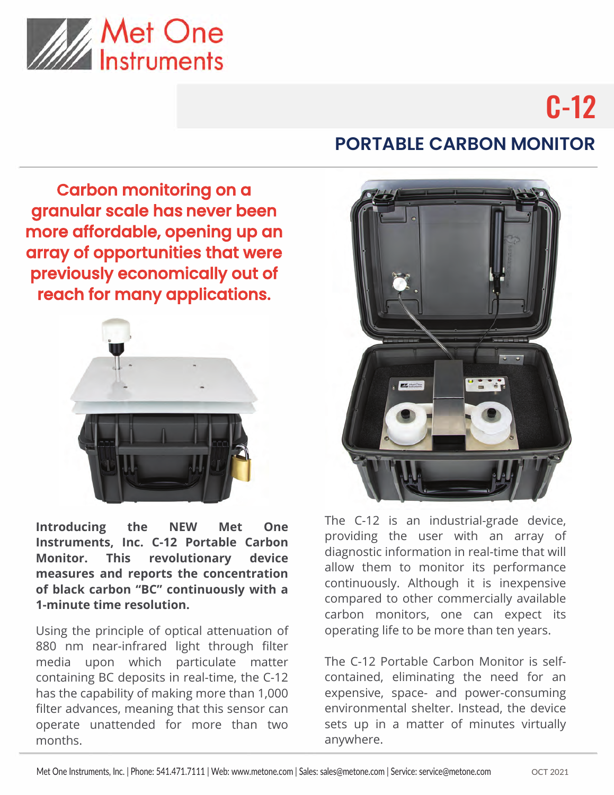

# C-12

### Carbon monitoring on a granular scale has never been more affordable, opening up an array of opportunities that were previously economically out of reach for many applications.



**Introducing the NEW Met One Instruments, Inc. C-12 Portable Carbon Monitor. This revolutionary device measures and reports the concentration of black carbon "BC" continuously with a 1-minute time resolution.**

Using the principle of optical attenuation of 880 nm near-infrared light through filter media upon which particulate matter containing BC deposits in real-time, the C-12 has the capability of making more than 1,000 filter advances, meaning that this sensor can operate unattended for more than two months.

## **PORTABLE CARBON MONITOR**



The C-12 is an industrial-grade device, providing the user with an array of diagnostic information in real-time that will allow them to monitor its performance continuously. Although it is inexpensive compared to other commercially available carbon monitors, one can expect its operating life to be more than ten years.

The C-12 Portable Carbon Monitor is selfcontained, eliminating the need for an expensive, space- and power-consuming environmental shelter. Instead, the device sets up in a matter of minutes virtually anywhere.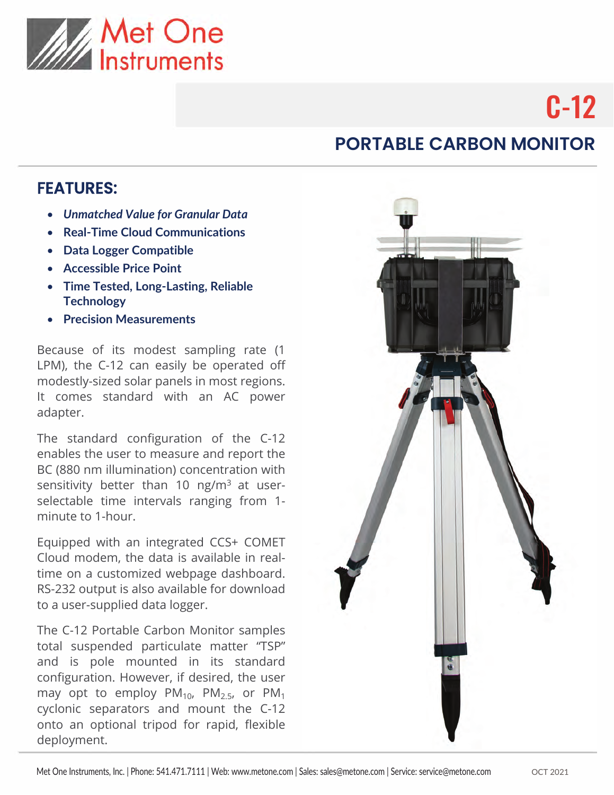

# C-12

## **PORTABLE CARBON MONITOR**

#### FEATURES:

- *Unmatched Value for Granular Data*
- **Real-Time Cloud Communications**
- **Data Logger Compatible**
- **Accessible Price Point**
- **Time Tested, Long-Lasting, Reliable Technology**
- **Precision Measurements**

Because of its modest sampling rate (1 LPM), the C-12 can easily be operated off modestly-sized solar panels in most regions. It comes standard with an AC power adapter.

The standard configuration of the C-12 enables the user to measure and report the BC (880 nm illumination) concentration with sensitivity better than 20 ng/m<sup>3</sup> at userselectable time intervals ranging from 1 minute to 1-hour.

Equipped with an integrated CCS+ COMET Cloud modem, the data is available in realtime on a customized webpage dashboard. The C-12 Portable Carbon Monitor samples total suspended particulate matter "TSP" and is pole mounted in its standard configuration. However, if desired, the user may opt to mount the C-12 onto an optional tripod for rapid, flexible deployment.

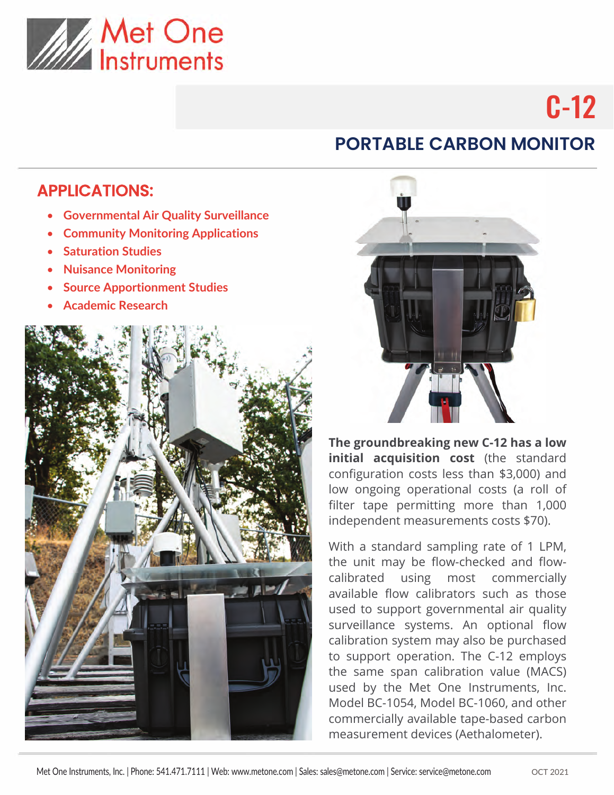

# C-12

## **PORTABLE CARBON MONITOR**

#### APPLICATIONS:

- **Governmental Air Quality Surveillance**
- **Community Monitoring Applications**
- **Saturation Studies**
- **Nuisance Monitoring**
- **Source Apportionment Studies**
- **Academic Research**





**The groundbreaking new C-12 has a low initial acquisition cost** (the standard configuration costs less than \$3,000) and low ongoing operational costs (a roll of filter tape permitting more than 1,000 independent measurements costs \$70).

With a standard sampling rate of 1 LPM, the unit may be flow-checked and flowcalibrated using most commercially available flow calibrators such as those used to support governmental air quality surveillance systems. An optional flow calibration system may also be purchased to support operation. The C-12 employs the same span calibration value (MACS) used by the Met One Instruments, Inc. Model BC-1054, Model BC-1060, and other commercially available tape-based carbon measurement devices (Aethalometer).